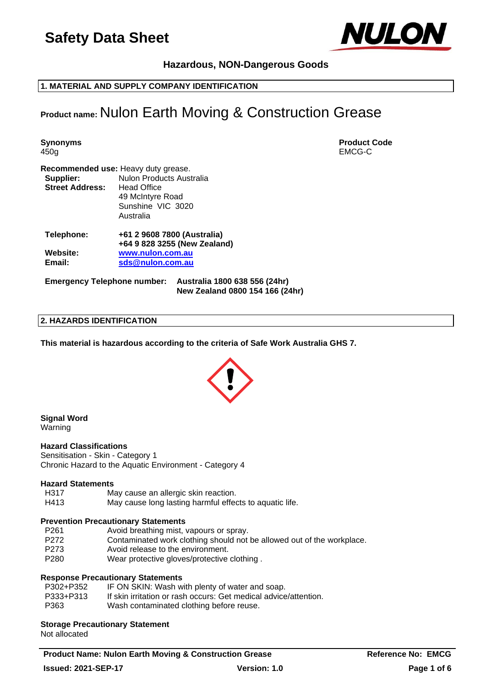

### **Hazardous, NON-Dangerous Goods**

**1. MATERIAL AND SUPPLY COMPANY IDENTIFICATION**

### **Product name:** Nulon Earth Moving & Construction Grease

**Synonyms Product Code** 450g EMCG-C **Recommended use:** Heavy duty grease. **Supplier:** Nulon Products Australia **Street Address:** Head Office 49 McIntyre Road Sunshine VIC 3020 Australia **Telephone: +61 2 9608 7800 (Australia) +64 9 828 3255 (New Zealand) Website: [www.nulon.com.au](http://www.nulon.com.au/) Email: [sds@nulon.com.au](mailto:sds@nulon.com.au)**

**Emergency Telephone number: Australia 1800 638 556 (24hr) New Zealand 0800 154 166 (24hr)**

#### **2. HAZARDS IDENTIFICATION**

**This material is hazardous according to the criteria of Safe Work Australia GHS 7.**



**Signal Word** Warning

### **Hazard Classifications**

Sensitisation - Skin - Category 1 Chronic Hazard to the Aquatic Environment - Category 4

### **Hazard Statements**

- H317 May cause an allergic skin reaction.
- H413 May cause long lasting harmful effects to aquatic life.

### **Prevention Precautionary Statements**

- P261 Avoid breathing mist, vapours or spray.
- P272 Contaminated work clothing should not be allowed out of the workplace.
- P273 Avoid release to the environment.
- P280 Wear protective gloves/protective clothing.

### **Response Precautionary Statements**

| P302+P352 | IF ON SKIN: Wash with plenty of water and soap.                  |
|-----------|------------------------------------------------------------------|
| P333+P313 | If skin irritation or rash occurs: Get medical advice/attention. |
| P363      | Wash contaminated clothing before reuse.                         |

### **Storage Precautionary Statement**

Not allocated

**Product Name: Nulon Earth Moving & Construction Grease Reference No: EMCG**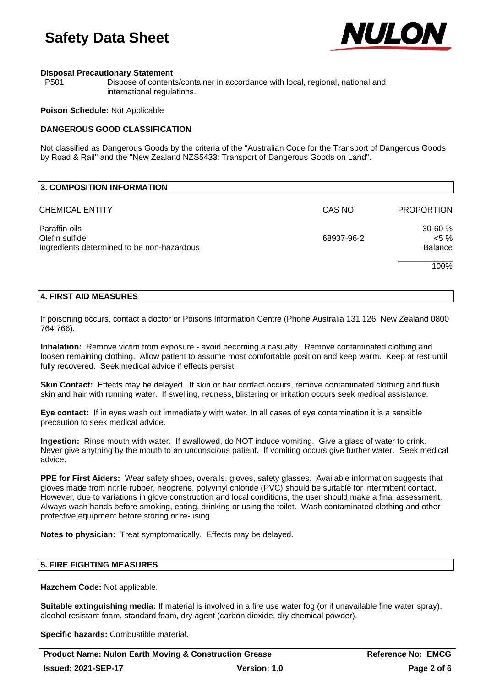

### **Disposal Precautionary Statement**

P501 Dispose of contents/container in accordance with local, regional, national and international regulations.

### **Poison Schedule:** Not Applicable

### **DANGEROUS GOOD CLASSIFICATION**

Not classified as Dangerous Goods by the criteria of the "Australian Code for the Transport of Dangerous Goods by Road & Rail" and the "New Zealand NZS5433: Transport of Dangerous Goods on Land".

| 3. COMPOSITION INFORMATION                                                    |            |                                       |
|-------------------------------------------------------------------------------|------------|---------------------------------------|
| <b>CHEMICAL ENTITY</b>                                                        | CAS NO     | <b>PROPORTION</b>                     |
| Paraffin oils<br>Olefin sulfide<br>Ingredients determined to be non-hazardous | 68937-96-2 | 30-60 %<br>$< 5 \%$<br><b>Balance</b> |
|                                                                               |            | 100%                                  |

### **4. FIRST AID MEASURES**

If poisoning occurs, contact a doctor or Poisons Information Centre (Phone Australia 131 126, New Zealand 0800 764 766).

**Inhalation:** Remove victim from exposure - avoid becoming a casualty. Remove contaminated clothing and loosen remaining clothing. Allow patient to assume most comfortable position and keep warm. Keep at rest until fully recovered. Seek medical advice if effects persist.

**Skin Contact:** Effects may be delayed. If skin or hair contact occurs, remove contaminated clothing and flush skin and hair with running water. If swelling, redness, blistering or irritation occurs seek medical assistance.

**Eye contact:** If in eyes wash out immediately with water. In all cases of eye contamination it is a sensible precaution to seek medical advice.

**Ingestion:** Rinse mouth with water. If swallowed, do NOT induce vomiting. Give a glass of water to drink. Never give anything by the mouth to an unconscious patient. If vomiting occurs give further water. Seek medical advice.

**PPE for First Aiders:** Wear safety shoes, overalls, gloves, safety glasses. Available information suggests that gloves made from nitrile rubber, neoprene, polyvinyl chloride (PVC) should be suitable for intermittent contact. However, due to variations in glove construction and local conditions, the user should make a final assessment. Always wash hands before smoking, eating, drinking or using the toilet. Wash contaminated clothing and other protective equipment before storing or re-using.

**Notes to physician:** Treat symptomatically. Effects may be delayed.

### **5. FIRE FIGHTING MEASURES**

**Hazchem Code:** Not applicable.

**Suitable extinguishing media:** If material is involved in a fire use water fog (or if unavailable fine water spray), alcohol resistant foam, standard foam, dry agent (carbon dioxide, dry chemical powder).

**Specific hazards:** Combustible material.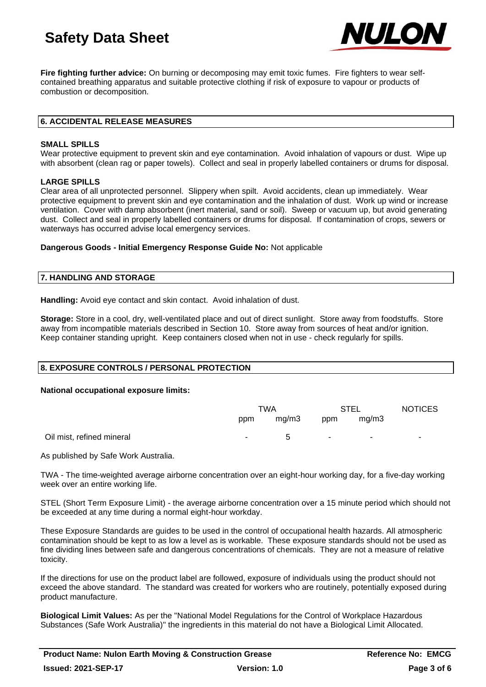

**Fire fighting further advice:** On burning or decomposing may emit toxic fumes. Fire fighters to wear selfcontained breathing apparatus and suitable protective clothing if risk of exposure to vapour or products of combustion or decomposition.

### **6. ACCIDENTAL RELEASE MEASURES**

### **SMALL SPILLS**

Wear protective equipment to prevent skin and eye contamination. Avoid inhalation of vapours or dust. Wipe up with absorbent (clean rag or paper towels). Collect and seal in properly labelled containers or drums for disposal.

### **LARGE SPILLS**

Clear area of all unprotected personnel. Slippery when spilt. Avoid accidents, clean up immediately. Wear protective equipment to prevent skin and eye contamination and the inhalation of dust. Work up wind or increase ventilation. Cover with damp absorbent (inert material, sand or soil). Sweep or vacuum up, but avoid generating dust. Collect and seal in properly labelled containers or drums for disposal. If contamination of crops, sewers or waterways has occurred advise local emergency services.

### **Dangerous Goods - Initial Emergency Response Guide No:** Not applicable

### **7. HANDLING AND STORAGE**

**Handling:** Avoid eve contact and skin contact. Avoid inhalation of dust.

**Storage:** Store in a cool, dry, well-ventilated place and out of direct sunlight. Store away from foodstuffs. Store away from incompatible materials described in Section 10. Store away from sources of heat and/or ignition. Keep container standing upright. Keep containers closed when not in use - check regularly for spills.

### **8. EXPOSURE CONTROLS / PERSONAL PROTECTION**

### **National occupational exposure limits:**

|                           | TWA |              | <b>STEL</b>              |        | <b>NOTICES</b> |
|---------------------------|-----|--------------|--------------------------|--------|----------------|
|                           | ppm | mq/m3        | ppm                      | mq/m3  |                |
| Oil mist, refined mineral | ۰.  | $\mathbf{b}$ | <b>Contract Contract</b> | $\sim$ | ۰              |

As published by Safe Work Australia.

TWA - The time-weighted average airborne concentration over an eight-hour working day, for a five-day working week over an entire working life.

STEL (Short Term Exposure Limit) - the average airborne concentration over a 15 minute period which should not be exceeded at any time during a normal eight-hour workday.

These Exposure Standards are guides to be used in the control of occupational health hazards. All atmospheric contamination should be kept to as low a level as is workable. These exposure standards should not be used as fine dividing lines between safe and dangerous concentrations of chemicals. They are not a measure of relative toxicity.

If the directions for use on the product label are followed, exposure of individuals using the product should not exceed the above standard. The standard was created for workers who are routinely, potentially exposed during product manufacture.

**Biological Limit Values:** As per the "National Model Regulations for the Control of Workplace Hazardous Substances (Safe Work Australia)" the ingredients in this material do not have a Biological Limit Allocated.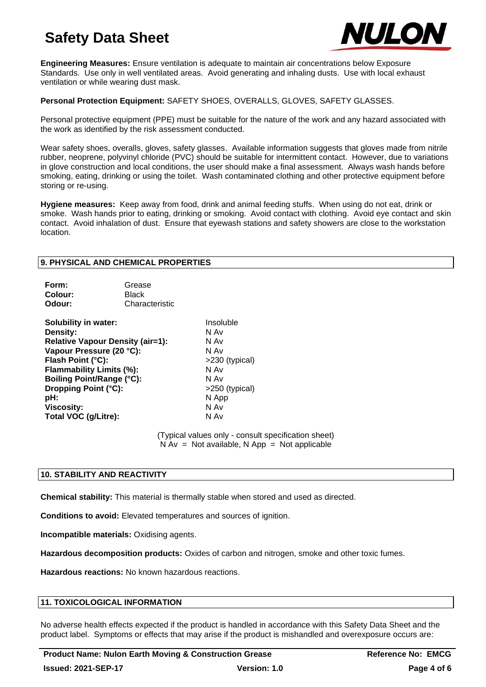

**Engineering Measures:** Ensure ventilation is adequate to maintain air concentrations below Exposure Standards. Use only in well ventilated areas. Avoid generating and inhaling dusts. Use with local exhaust ventilation or while wearing dust mask.

### **Personal Protection Equipment:** SAFETY SHOES, OVERALLS, GLOVES, SAFETY GLASSES.

Personal protective equipment (PPE) must be suitable for the nature of the work and any hazard associated with the work as identified by the risk assessment conducted.

Wear safety shoes, overalls, gloves, safety glasses. Available information suggests that gloves made from nitrile rubber, neoprene, polyvinyl chloride (PVC) should be suitable for intermittent contact. However, due to variations in glove construction and local conditions, the user should make a final assessment. Always wash hands before smoking, eating, drinking or using the toilet. Wash contaminated clothing and other protective equipment before storing or re-using.

**Hygiene measures:** Keep away from food, drink and animal feeding stuffs. When using do not eat, drink or smoke. Wash hands prior to eating, drinking or smoking. Avoid contact with clothing. Avoid eye contact and skin contact. Avoid inhalation of dust. Ensure that eyewash stations and safety showers are close to the workstation location.

### **9. PHYSICAL AND CHEMICAL PROPERTIES**

| Form:   | Grease         |
|---------|----------------|
| Colour: | <b>Black</b>   |
| Odour:  | Characteristic |

**Solubility in water:** Insoluble **Density:** N Av **Relative Vapour Density (air=1):** N Av **Vapour Pressure (20 °C):** N Av **Flash Point (°C):** >230 (typical) **Flammability Limits (%):** N Av **Boiling Point/Range (°C):** N Av **Dropping Point (°C):** >250 (typical) **pH:** N App **Viscosity:** N Av **Total VOC (g/Litre):** 

(Typical values only - consult specification sheet)  $N Av = Not available$ . N App = Not applicable

### **10. STABILITY AND REACTIVITY**

**Chemical stability:** This material is thermally stable when stored and used as directed.

**Conditions to avoid:** Elevated temperatures and sources of ignition.

**Incompatible materials:** Oxidising agents.

**Hazardous decomposition products:** Oxides of carbon and nitrogen, smoke and other toxic fumes.

**Hazardous reactions:** No known hazardous reactions.

### **11. TOXICOLOGICAL INFORMATION**

No adverse health effects expected if the product is handled in accordance with this Safety Data Sheet and the product label. Symptoms or effects that may arise if the product is mishandled and overexposure occurs are: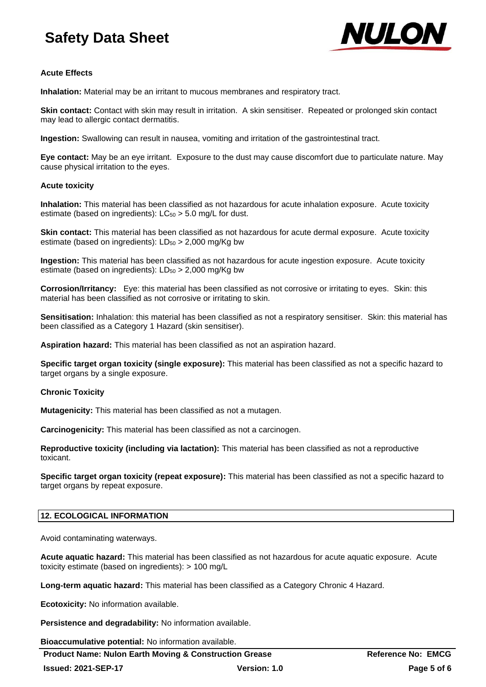

### **Acute Effects**

**Inhalation:** Material may be an irritant to mucous membranes and respiratory tract.

**Skin contact:** Contact with skin may result in irritation. A skin sensitiser. Repeated or prolonged skin contact may lead to allergic contact dermatitis.

**Ingestion:** Swallowing can result in nausea, vomiting and irritation of the gastrointestinal tract.

**Eye contact:** May be an eye irritant. Exposure to the dust may cause discomfort due to particulate nature. May cause physical irritation to the eyes.

### **Acute toxicity**

**Inhalation:** This material has been classified as not hazardous for acute inhalation exposure. Acute toxicity estimate (based on ingredients):  $LC_{50} > 5.0$  mg/L for dust.

**Skin contact:** This material has been classified as not hazardous for acute dermal exposure. Acute toxicity estimate (based on ingredients):  $LD_{50} > 2,000$  mg/Kg bw

**Ingestion:** This material has been classified as not hazardous for acute ingestion exposure. Acute toxicity estimate (based on ingredients):  $LD_{50} > 2,000$  mg/Kg bw

**Corrosion/Irritancy:** Eye: this material has been classified as not corrosive or irritating to eyes. Skin: this material has been classified as not corrosive or irritating to skin.

**Sensitisation:** Inhalation: this material has been classified as not a respiratory sensitiser. Skin: this material has been classified as a Category 1 Hazard (skin sensitiser).

**Aspiration hazard:** This material has been classified as not an aspiration hazard.

**Specific target organ toxicity (single exposure):** This material has been classified as not a specific hazard to target organs by a single exposure.

### **Chronic Toxicity**

**Mutagenicity:** This material has been classified as not a mutagen.

**Carcinogenicity:** This material has been classified as not a carcinogen.

**Reproductive toxicity (including via lactation):** This material has been classified as not a reproductive toxicant.

**Specific target organ toxicity (repeat exposure):** This material has been classified as not a specific hazard to target organs by repeat exposure.

### **12. ECOLOGICAL INFORMATION**

Avoid contaminating waterways.

**Acute aquatic hazard:** This material has been classified as not hazardous for acute aquatic exposure. Acute toxicity estimate (based on ingredients): > 100 mg/L

**Long-term aquatic hazard:** This material has been classified as a Category Chronic 4 Hazard.

**Ecotoxicity:** No information available.

**Persistence and degradability:** No information available.

**Bioaccumulative potential:** No information available.